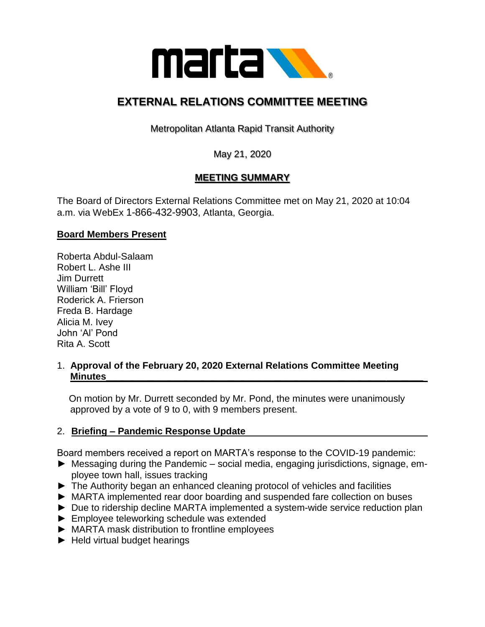

# **EXTERNAL RELATIONS COMMITTEE MEETING**

Metropolitan Atlanta Rapid Transit Authority

May 21, 2020

# **MEETING SUMMARY**

The Board of Directors External Relations Committee met on May 21, 2020 at 10:04 a.m. via WebEx 1-866-432-9903, Atlanta, Georgia.

## **Board Members Present**

Roberta Abdul-Salaam Robert L. Ashe III Jim Durrett William 'Bill' Floyd Roderick A. Frierson Freda B. Hardage Alicia M. Ivey John 'Al' Pond Rita A. Scott

#### 1. **Approval of the February 20, 2020 External Relations Committee Meeting Minutes\_\_\_\_\_\_\_\_\_\_\_\_\_\_\_\_\_\_\_\_\_\_\_\_\_\_\_\_\_\_\_\_\_\_\_\_\_\_\_\_\_\_\_\_\_\_\_\_\_\_\_\_\_\_\_\_\_\_\_\_**

 On motion by Mr. Durrett seconded by Mr. Pond, the minutes were unanimously approved by a vote of 9 to 0, with 9 members present.

## 2. **Briefing – Pandemic Response Update**

Board members received a report on MARTA's response to the COVID-19 pandemic:

- ► Messaging during the Pandemic social media, engaging jurisdictions, signage, employee town hall, issues tracking
- ► The Authority began an enhanced cleaning protocol of vehicles and facilities
- ► MARTA implemented rear door boarding and suspended fare collection on buses
- ► Due to ridership decline MARTA implemented a system-wide service reduction plan
- ► Employee teleworking schedule was extended
- ► MARTA mask distribution to frontline employees
- ► Held virtual budget hearings